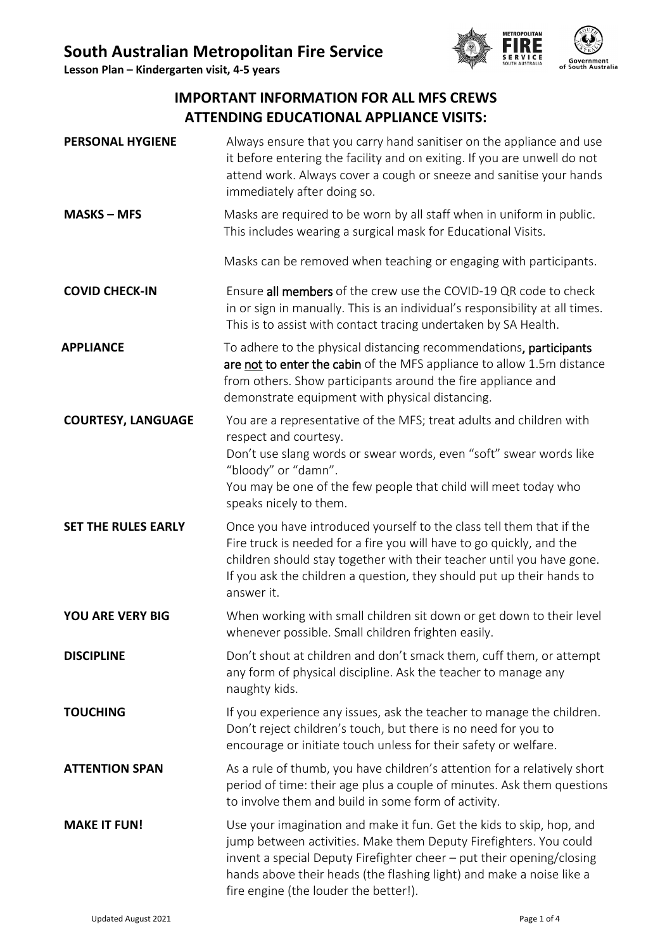**Lesson Plan – Kindergarten visit, 4-5 years**



## **IMPORTANT INFORMATION FOR ALL MFS CREWS ATTENDING EDUCATIONAL APPLIANCE VISITS:**

| <b>PERSONAL HYGIENE</b>    | Always ensure that you carry hand sanitiser on the appliance and use<br>it before entering the facility and on exiting. If you are unwell do not<br>attend work. Always cover a cough or sneeze and sanitise your hands<br>immediately after doing so.                                                                              |  |
|----------------------------|-------------------------------------------------------------------------------------------------------------------------------------------------------------------------------------------------------------------------------------------------------------------------------------------------------------------------------------|--|
| <b>MASKS - MFS</b>         | Masks are required to be worn by all staff when in uniform in public.<br>This includes wearing a surgical mask for Educational Visits.                                                                                                                                                                                              |  |
|                            | Masks can be removed when teaching or engaging with participants.                                                                                                                                                                                                                                                                   |  |
| <b>COVID CHECK-IN</b>      | Ensure all members of the crew use the COVID-19 QR code to check<br>in or sign in manually. This is an individual's responsibility at all times.<br>This is to assist with contact tracing undertaken by SA Health.                                                                                                                 |  |
| <b>APPLIANCE</b>           | To adhere to the physical distancing recommendations, participants<br>are not to enter the cabin of the MFS appliance to allow 1.5m distance<br>from others. Show participants around the fire appliance and<br>demonstrate equipment with physical distancing.                                                                     |  |
| <b>COURTESY, LANGUAGE</b>  | You are a representative of the MFS; treat adults and children with<br>respect and courtesy.<br>Don't use slang words or swear words, even "soft" swear words like<br>"bloody" or "damn".<br>You may be one of the few people that child will meet today who<br>speaks nicely to them.                                              |  |
| <b>SET THE RULES EARLY</b> | Once you have introduced yourself to the class tell them that if the<br>Fire truck is needed for a fire you will have to go quickly, and the<br>children should stay together with their teacher until you have gone.<br>If you ask the children a question, they should put up their hands to<br>answer it.                        |  |
| <b>YOU ARE VERY BIG</b>    | When working with small children sit down or get down to their level<br>whenever possible. Small children frighten easily.                                                                                                                                                                                                          |  |
| <b>DISCIPLINE</b>          | Don't shout at children and don't smack them, cuff them, or attempt<br>any form of physical discipline. Ask the teacher to manage any<br>naughty kids.                                                                                                                                                                              |  |
| <b>TOUCHING</b>            | If you experience any issues, ask the teacher to manage the children.<br>Don't reject children's touch, but there is no need for you to<br>encourage or initiate touch unless for their safety or welfare.                                                                                                                          |  |
| <b>ATTENTION SPAN</b>      | As a rule of thumb, you have children's attention for a relatively short<br>period of time: their age plus a couple of minutes. Ask them questions<br>to involve them and build in some form of activity.                                                                                                                           |  |
| <b>MAKE IT FUN!</b>        | Use your imagination and make it fun. Get the kids to skip, hop, and<br>jump between activities. Make them Deputy Firefighters. You could<br>invent a special Deputy Firefighter cheer - put their opening/closing<br>hands above their heads (the flashing light) and make a noise like a<br>fire engine (the louder the better!). |  |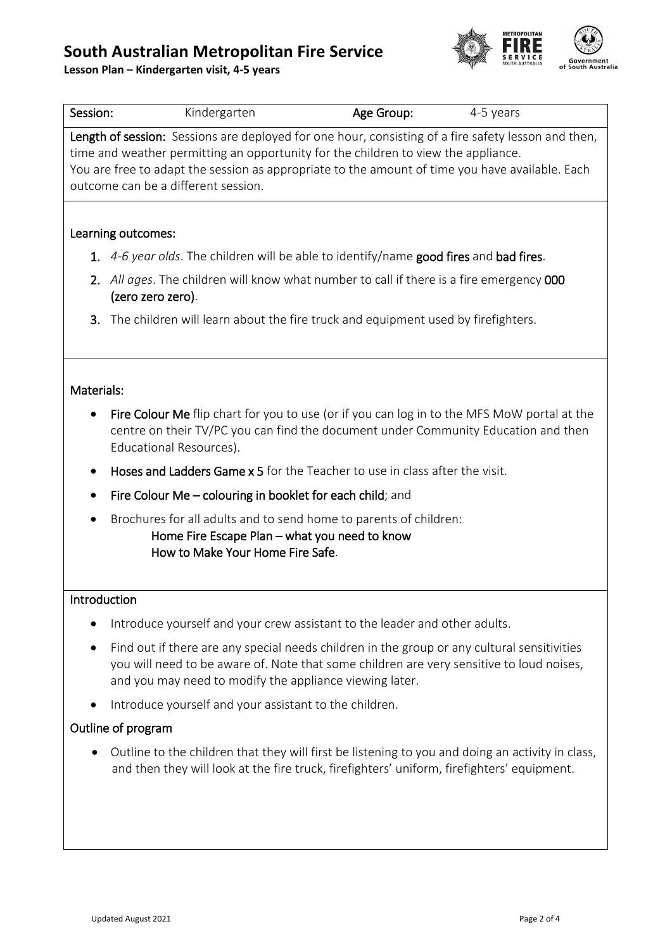# **South Australian Metropolitan Fire Service**

**Lesson Plan – Kindergarten visit, 4-5 years**



| Session:     | Kindergarten                                                                                                                                                                                                                                                                                                                        | Age Group: | 4-5 years |  |  |
|--------------|-------------------------------------------------------------------------------------------------------------------------------------------------------------------------------------------------------------------------------------------------------------------------------------------------------------------------------------|------------|-----------|--|--|
|              | Length of session: Sessions are deployed for one hour, consisting of a fire safety lesson and then,<br>time and weather permitting an opportunity for the children to view the appliance.<br>You are free to adapt the session as appropriate to the amount of time you have available. Each<br>outcome can be a different session. |            |           |  |  |
|              | Learning outcomes:                                                                                                                                                                                                                                                                                                                  |            |           |  |  |
|              | 1. 4-6 year olds. The children will be able to identify/name good fires and bad fires.                                                                                                                                                                                                                                              |            |           |  |  |
|              | 2. All ages. The children will know what number to call if there is a fire emergency 000<br>(zero zero zero).                                                                                                                                                                                                                       |            |           |  |  |
| 3.           | The children will learn about the fire truck and equipment used by firefighters.                                                                                                                                                                                                                                                    |            |           |  |  |
| Materials:   |                                                                                                                                                                                                                                                                                                                                     |            |           |  |  |
| $\bullet$    | Fire Colour Me flip chart for you to use (or if you can log in to the MFS MoW portal at the<br>centre on their TV/PC you can find the document under Community Education and then<br>Educational Resources).                                                                                                                        |            |           |  |  |
| ٠            | Hoses and Ladders Game x 5 for the Teacher to use in class after the visit.                                                                                                                                                                                                                                                         |            |           |  |  |
|              | Fire Colour Me – colouring in booklet for each child; and                                                                                                                                                                                                                                                                           |            |           |  |  |
|              | Brochures for all adults and to send home to parents of children:<br>Home Fire Escape Plan - what you need to know<br>How to Make Your Home Fire Safe.                                                                                                                                                                              |            |           |  |  |
| Introduction |                                                                                                                                                                                                                                                                                                                                     |            |           |  |  |
|              | Introduce yourself and your crew assistant to the leader and other adults.                                                                                                                                                                                                                                                          |            |           |  |  |
|              | Find out if there are any special needs children in the group or any cultural sensitivities<br>you will need to be aware of. Note that some children are very sensitive to loud noises,<br>and you may need to modify the appliance viewing later.                                                                                  |            |           |  |  |
|              | Introduce yourself and your assistant to the children.                                                                                                                                                                                                                                                                              |            |           |  |  |
|              | Outline of program                                                                                                                                                                                                                                                                                                                  |            |           |  |  |
| ٠            | Outline to the children that they will first be listening to you and doing an activity in class,<br>and then they will look at the fire truck, firefighters' uniform, firefighters' equipment.                                                                                                                                      |            |           |  |  |
|              |                                                                                                                                                                                                                                                                                                                                     |            |           |  |  |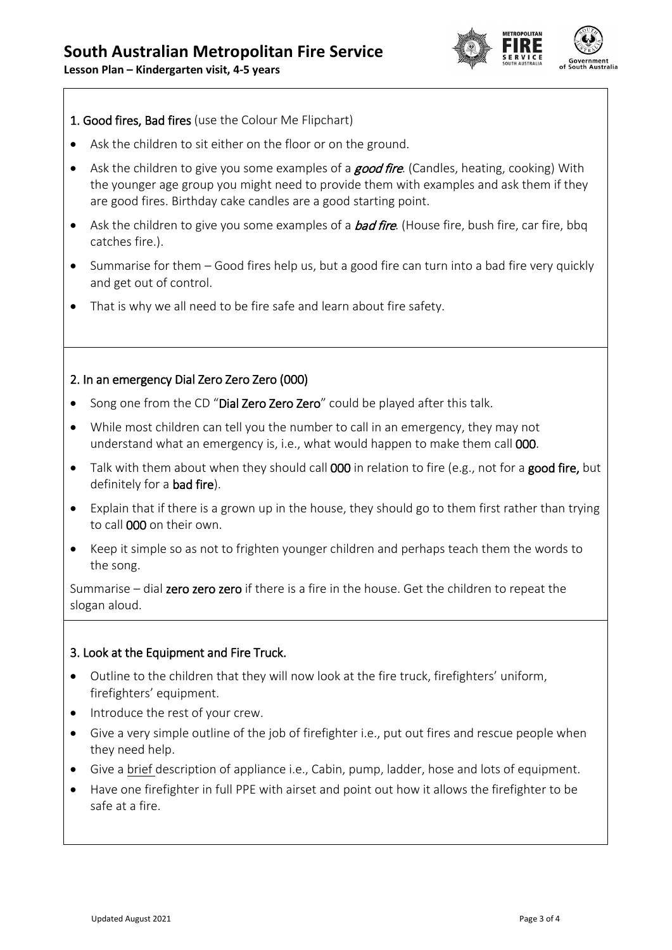**Lesson Plan – Kindergarten visit, 4-5 years**



### 1. Good fires, Bad fires (use the Colour Me Flipchart)

- Ask the children to sit either on the floor or on the ground.
- Ask the children to give you some examples of a *good fire*. (Candles, heating, cooking) With the younger age group you might need to provide them with examples and ask them if they are good fires. Birthday cake candles are a good starting point.
- Ask the children to give you some examples of a **bad fire**. (House fire, bush fire, car fire, bbq catches fire.).
- Summarise for them Good fires help us, but a good fire can turn into a bad fire very quickly and get out of control.
- That is why we all need to be fire safe and learn about fire safety.

#### 2. In an emergency Dial Zero Zero Zero (000)

- Song one from the CD "Dial Zero Zero Zero" could be played after this talk.
- While most children can tell you the number to call in an emergency, they may not understand what an emergency is, i.e., what would happen to make them call 000.
- Talk with them about when they should call 000 in relation to fire (e.g., not for a good fire, but definitely for a bad fire).
- Explain that if there is a grown up in the house, they should go to them first rather than trying to call 000 on their own.
- Keep it simple so as not to frighten younger children and perhaps teach them the words to the song.

Summarise – dial zero zero zero if there is a fire in the house. Get the children to repeat the slogan aloud.

#### 3. Look at the Equipment and Fire Truck.

- Outline to the children that they will now look at the fire truck, firefighters' uniform, firefighters' equipment.
- Introduce the rest of your crew.
- Give a very simple outline of the job of firefighter i.e., put out fires and rescue people when they need help.
- Give a brief description of appliance i.e., Cabin, pump, ladder, hose and lots of equipment.
- Have one firefighter in full PPE with airset and point out how it allows the firefighter to be safe at a fire.